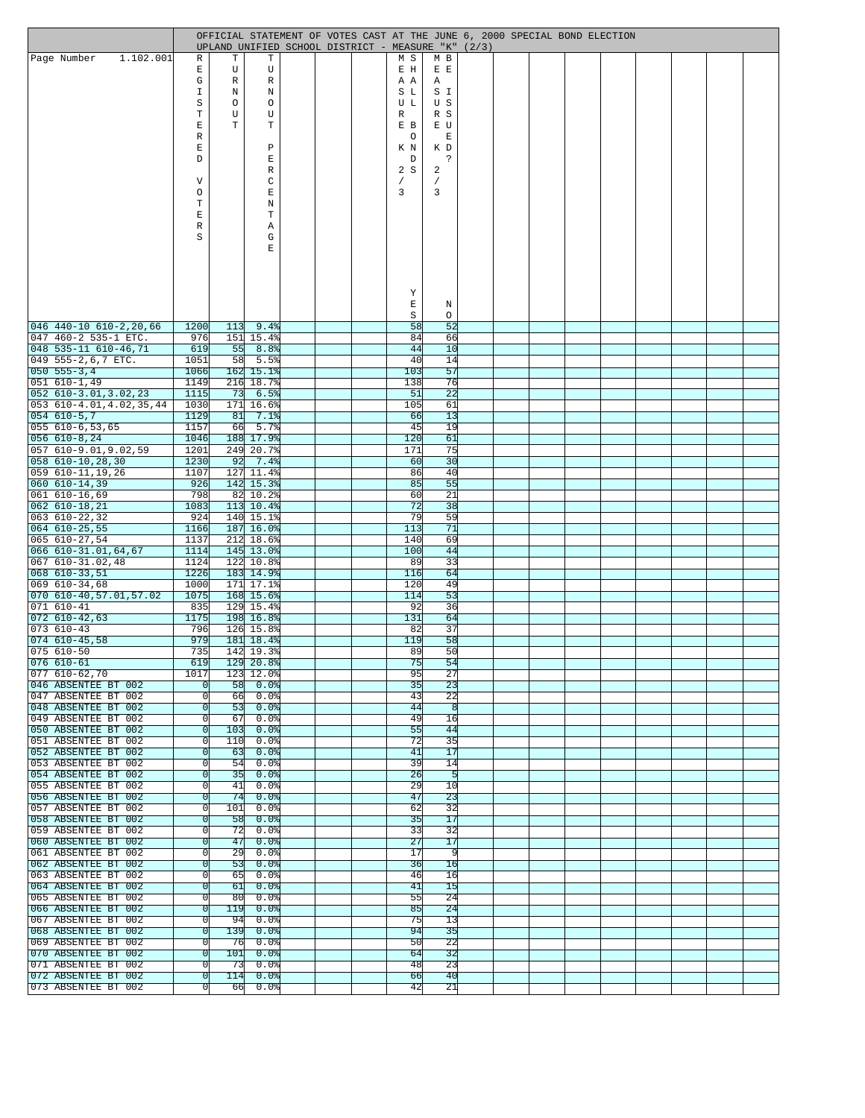|                                                          |                  |           | OFFICIAL STATEMENT OF VOTES CAST AT THE JUNE 6, 2000 SPECIAL BOND ELECTION |  |            |                 |  |  |  |  |  |
|----------------------------------------------------------|------------------|-----------|----------------------------------------------------------------------------|--|------------|-----------------|--|--|--|--|--|
| 1.102.001<br> Page Number                                | R                | Т         | UPLAND UNIFIED SCHOOL DISTRICT - MEASURE "K" (2/3)<br>т                    |  | M S        | M B             |  |  |  |  |  |
|                                                          | Ε                | U         | U                                                                          |  | E H        | E E             |  |  |  |  |  |
|                                                          | G<br>I           | R<br>Ν    | R<br>Ν                                                                     |  | A A<br>S L | Α<br>S I        |  |  |  |  |  |
|                                                          | S                | O         | O                                                                          |  | U L        | U S             |  |  |  |  |  |
|                                                          | $\mathbf T$      | U         | U                                                                          |  | R          | R S             |  |  |  |  |  |
|                                                          | E                | Т         | Т                                                                          |  | E B        | E U             |  |  |  |  |  |
|                                                          | $\mathbb R$<br>E |           | Ρ                                                                          |  | O<br>K N   | E<br>K D        |  |  |  |  |  |
|                                                          | D                |           | Е                                                                          |  | D          | ċ.              |  |  |  |  |  |
|                                                          |                  |           | R                                                                          |  | 2S         | 2               |  |  |  |  |  |
|                                                          | V                |           | C                                                                          |  |            |                 |  |  |  |  |  |
|                                                          | O<br>Т           |           | Е<br>Ν                                                                     |  | 3          | 3               |  |  |  |  |  |
|                                                          | Ε                |           | т                                                                          |  |            |                 |  |  |  |  |  |
|                                                          | $\mathbb R$      |           | Α                                                                          |  |            |                 |  |  |  |  |  |
|                                                          | S                |           | G<br>E                                                                     |  |            |                 |  |  |  |  |  |
|                                                          |                  |           |                                                                            |  |            |                 |  |  |  |  |  |
|                                                          |                  |           |                                                                            |  |            |                 |  |  |  |  |  |
|                                                          |                  |           |                                                                            |  |            |                 |  |  |  |  |  |
|                                                          |                  |           |                                                                            |  | Υ<br>E     | Ν               |  |  |  |  |  |
|                                                          |                  |           |                                                                            |  | $\rm S$    | O               |  |  |  |  |  |
| $046$ 440-10 610-2,20,66                                 | 1200             | 113       | 9.4%                                                                       |  | 58         | 52              |  |  |  |  |  |
| 047 460-2 535-1 ETC.                                     | 976              |           | 151 15.4%                                                                  |  | 84         | 66              |  |  |  |  |  |
| 048 535-11 610-46,71<br>049 555-2,6,7 ETC.               | 619<br>1051      | 55<br>58  | 8.8%<br>5.5%                                                               |  | 44<br>40   | 10<br>14        |  |  |  |  |  |
| $\boxed{050 \ 555 - 3, 4}$                               | 1066             |           | 162 15.1%                                                                  |  | 103        | 57              |  |  |  |  |  |
| $ 051 610 - 1, 49$                                       | 1149             |           | 216 18.7%                                                                  |  | 138        | 76              |  |  |  |  |  |
| 052 610-3.01,3.02,23<br>$053$ $610 - 4.01, 4.02, 35, 44$ | 1115<br>1030     | 73        | 6.5%<br>171 16.6%                                                          |  | 51<br>105  | 22<br>61        |  |  |  |  |  |
| $ 054 610 - 5, 7$                                        | 1129             | 81        | 7.1%                                                                       |  | 66         | 13              |  |  |  |  |  |
| $055610-6,53,65$                                         | 1157             | 66        | 5.7%                                                                       |  | 45         | 19              |  |  |  |  |  |
| $ 056 610 - 8, 24$                                       | 1046             |           | 188 17.9%                                                                  |  | 120        | 61              |  |  |  |  |  |
| 057 610-9.01,9.02,59<br>058 610-10,28,30                 | 1201<br>1230     | 92        | 249 20.7%<br>7.4%                                                          |  | 171<br>60  | 75<br>30        |  |  |  |  |  |
| 059 610-11,19,26                                         | 1107             |           | 127 11.4%                                                                  |  | 86         | 40              |  |  |  |  |  |
| $ 060 610 - 14,39$                                       | 926              |           | 142 15.3%                                                                  |  | 85         | 55              |  |  |  |  |  |
| 061 610-16,69                                            | 798<br>1083      |           | 82 10.2%<br>$113$ 10.4%                                                    |  | 60<br>72   | 21              |  |  |  |  |  |
| $ 062 610 - 18, 21$<br> 063 610-22,32                    | 924              |           | 140 15.1%                                                                  |  | 79         | 38<br>59        |  |  |  |  |  |
| $ 064 610 - 25, 55$                                      | 1166             |           | 187 16.0%                                                                  |  | 113        | 71              |  |  |  |  |  |
| $ 065 610 - 27, 54$                                      | 1137             |           | $212$ 18.6%                                                                |  | 140        | 69              |  |  |  |  |  |
| 066 610-31.01,64,67<br>067 610-31.02,48                  | 1114<br>1124     |           | 145 13.0%<br>122 10.8%                                                     |  | 100<br>89  | 44<br>33        |  |  |  |  |  |
| $ 068 610-33,51$                                         | 1226             |           | 183 14.9%                                                                  |  | 116        | 64              |  |  |  |  |  |
| 069 610-34,68                                            | 1000             |           | 171 17.1%                                                                  |  | 120        | 49              |  |  |  |  |  |
| 070 610-40,57.01,57.02                                   | 1075             |           | 168 15.6%                                                                  |  | 114        | 53              |  |  |  |  |  |
| 071 610-41<br>$072$ 610-42,63                            | 835<br>1175      |           | 129 15.4%<br>198 16.8%                                                     |  | 92<br>131  | 36<br>64        |  |  |  |  |  |
| $073610-43$                                              | 796              |           | 126 15.8%                                                                  |  | 82         | 37              |  |  |  |  |  |
| $ 074 610 - 45,58$                                       | 979              |           | 181 18.4%                                                                  |  | 119        | 58              |  |  |  |  |  |
| $ 075 610 - 50$<br>$076610-61$                           | 735<br>619       |           | 142 19.3%<br>129 20.8%                                                     |  | 89<br>75   | 50<br>54        |  |  |  |  |  |
| $ 077 610 - 62,70$                                       | 1017             |           | 123 12.0%                                                                  |  | 95         | 27              |  |  |  |  |  |
| 046 ABSENTEE BT 002                                      | 0l               |           | 5800.0                                                                     |  | 35         | 23              |  |  |  |  |  |
| 047 ABSENTEE BT 002<br>048 ABSENTEE BT 002               | 0<br>0l          |           | 660.08<br>53 0.08                                                          |  | 43<br>44   | 22<br>न्ध       |  |  |  |  |  |
| 049 ABSENTEE BT 002                                      | 0l               | 67        | $0.0$ %                                                                    |  | 49         | 16              |  |  |  |  |  |
| 050 ABSENTEE BT 002                                      | $\mathbf 0$      |           | 103   0.0                                                                  |  | 55         | 44              |  |  |  |  |  |
| 051 ABSENTEE BT 002                                      | 0                | 110       | 0.0%                                                                       |  | 72         | 35              |  |  |  |  |  |
| 052 ABSENTEE BT 002<br>053 ABSENTEE BT 002               | 0<br>0           | 63<br>54  | 0.0%<br>$0.0$ %                                                            |  | 41<br>39   | 17<br>14        |  |  |  |  |  |
| 054 ABSENTEE BT 002                                      | 0l               | 35        | $0.0$ %                                                                    |  | 26         | $\overline{5}$  |  |  |  |  |  |
| 055 ABSENTEE BT 002                                      | 0                | 41        | $0.0$ 8                                                                    |  | 29         | 10              |  |  |  |  |  |
| 056 ABSENTEE BT 002<br>057 ABSENTEE BT 002               | $\mathbf{0}$     | 74<br>101 | $0.0$ $\frac{8}{3}$<br>$0.0$ $\frac{8}{3}$                                 |  | 47<br>62   | 23<br>32        |  |  |  |  |  |
| 058 ABSENTEE BT 002                                      | 0 <br>0l         | 58        | $0.0$ $\frac{8}{3}$                                                        |  | 35         | 17              |  |  |  |  |  |
| 059 ABSENTEE BT 002                                      | 0                | 72        | 0.0%                                                                       |  | 33         | 32              |  |  |  |  |  |
| 060 ABSENTEE BT 002                                      | 0l               | 47        | $0.0$ $\frac{8}{3}$                                                        |  | 27         | 17              |  |  |  |  |  |
| 061 ABSENTEE BT 002<br>062 ABSENTEE BT 002               | 0<br>0l          | 29<br>53  | $0.0$ %<br>$0.0$ %                                                         |  | 17<br>36   | -91<br>16       |  |  |  |  |  |
| 063 ABSENTEE BT 002                                      | 0                | 65        | $0.0$ $\frac{8}{3}$                                                        |  | 46         | 16              |  |  |  |  |  |
| 064 ABSENTEE BT 002                                      | 0                | 61        | $0.0$ %                                                                    |  | 41         | 15              |  |  |  |  |  |
| 065 ABSENTEE BT 002                                      | 0l               | 80        | 0.0%                                                                       |  | 55         | $\overline{24}$ |  |  |  |  |  |
| 066 ABSENTEE BT 002<br>067 ABSENTEE BT 002               | 0<br>0           | 119<br>94 | $0.0$ $\frac{8}{3}$<br>$0.0$ $\frac{8}{3}$                                 |  | 85<br>75   | 24<br>13        |  |  |  |  |  |
| 068 ABSENTEE BT 002                                      | $\Omega$         | 139       | $0.0$ $\frac{8}{3}$                                                        |  | 94         | 35              |  |  |  |  |  |
| 069 ABSENTEE BT 002                                      | 0                | 76        | $0.0$ $ $                                                                  |  | 50         | $\overline{22}$ |  |  |  |  |  |
| 070 ABSENTEE BT 002                                      | $\mathbf{0}$     | 101       | $0.0$ $\frac{8}{3}$                                                        |  | 64         | $\overline{32}$ |  |  |  |  |  |
| 071 ABSENTEE BT 002<br>072 ABSENTEE BT 002               | $\Omega$<br>0    | 73<br>114 | 0.0%<br>$0.0$ $\frac{8}{3}$                                                |  | 48<br>66   | 23<br>40        |  |  |  |  |  |
| 073 ABSENTEE BT 002                                      | 0                | 66        | $0.0$ %                                                                    |  | 42         | 21              |  |  |  |  |  |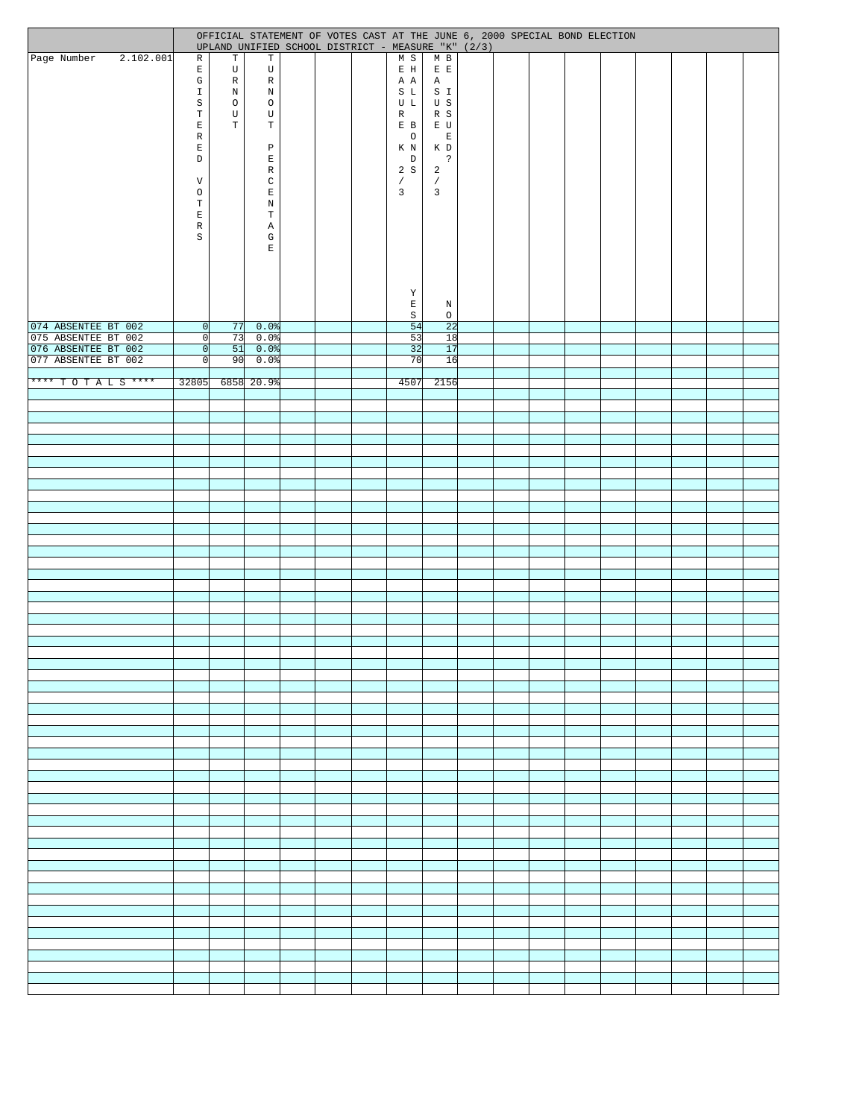|                                            |           |                                   |                   |                            |  |                      | OFFICIAL STATEMENT OF VOTES CAST AT THE JUNE 6, 2000 SPECIAL BOND ELECTION<br>UPLAND UNIFIED SCHOOL DISTRICT - MEASURE "K" (2/3) |  |  |  |  |  |
|--------------------------------------------|-----------|-----------------------------------|-------------------|----------------------------|--|----------------------|----------------------------------------------------------------------------------------------------------------------------------|--|--|--|--|--|
| Page Number                                | 2.102.001 | R                                 | $\mathbf T$       | $\mathbf T$                |  | M S                  | $M$ B                                                                                                                            |  |  |  |  |  |
|                                            |           | $\mathbf E$<br>G                  | U<br>$\, {\bf R}$ | U<br>R                     |  | $\mathbb E$ H<br>A A | $\mathbf{E}\cdot\mathbf{E}$<br>$\mathbb{A}$                                                                                      |  |  |  |  |  |
|                                            |           | $\mathbbm{1}$                     | $\, {\rm N}$      | $\, {\rm N}$               |  | S L                  | S I                                                                                                                              |  |  |  |  |  |
|                                            |           | $\rm S$                           | $\circ$           | $\circ$                    |  | U L                  | U S                                                                                                                              |  |  |  |  |  |
|                                            |           | $\mathbb T$<br>$\mathbf{E}% _{0}$ | U<br>$\mathbb T$  | U<br>$\mathbf T$           |  | R<br>E B             | R S<br>$\mathbb E$ U                                                                                                             |  |  |  |  |  |
|                                            |           | $\mathbb R$                       |                   |                            |  | $\circ$              | $\mathop{}\!\textnormal{E}$                                                                                                      |  |  |  |  |  |
|                                            |           | E                                 |                   | $\, {\bf P}$               |  | K N                  | K D                                                                                                                              |  |  |  |  |  |
|                                            |           | $\mathbb D$                       |                   | E<br>$\mathbb R$           |  | $\,$ D<br>2S         | $\ddot{\phantom{0}}$<br>$\overline{a}$                                                                                           |  |  |  |  |  |
|                                            |           | $\boldsymbol{\mathrm{V}}$         |                   | $\mathtt{C}$               |  | $\sqrt{2}$           | $\sqrt{2}$                                                                                                                       |  |  |  |  |  |
|                                            |           | $\circ$                           |                   | $\mathbf E$                |  | $\mathbf{3}$         | $\overline{3}$                                                                                                                   |  |  |  |  |  |
|                                            |           | $\mathbf T$<br>$\mathbf{E}$       |                   | $\mathbf N$<br>$\mathbf T$ |  |                      |                                                                                                                                  |  |  |  |  |  |
|                                            |           | $\mathbb R$                       |                   | Α                          |  |                      |                                                                                                                                  |  |  |  |  |  |
|                                            |           | $\rm S$                           |                   | ${\mathbb G}$              |  |                      |                                                                                                                                  |  |  |  |  |  |
|                                            |           |                                   |                   | E                          |  |                      |                                                                                                                                  |  |  |  |  |  |
|                                            |           |                                   |                   |                            |  |                      |                                                                                                                                  |  |  |  |  |  |
|                                            |           |                                   |                   |                            |  |                      |                                                                                                                                  |  |  |  |  |  |
|                                            |           |                                   |                   |                            |  | Y<br>$\mathbf{E}$    | N                                                                                                                                |  |  |  |  |  |
|                                            |           |                                   |                   |                            |  | $\rm S$              | $\circ$                                                                                                                          |  |  |  |  |  |
| 074 ABSENTEE BT 002<br>075 ABSENTEE BT 002 |           | 0 <br> 0                          |                   | $77$ 0.0%<br>73 0.0%       |  | 54<br>53             | 22<br>18                                                                                                                         |  |  |  |  |  |
| 076 ABSENTEE BT 002                        |           | 0                                 |                   | 510.0%                     |  | 32                   | 17                                                                                                                               |  |  |  |  |  |
| 077 ABSENTEE BT 002                        |           | 0                                 | 90                | $0.0$ %                    |  | 70                   | 16                                                                                                                               |  |  |  |  |  |
| **** TOTALS ****                           |           |                                   |                   | 32805 6858 20.9%           |  | 4507                 | 2156                                                                                                                             |  |  |  |  |  |
|                                            |           |                                   |                   |                            |  |                      |                                                                                                                                  |  |  |  |  |  |
|                                            |           |                                   |                   |                            |  |                      |                                                                                                                                  |  |  |  |  |  |
|                                            |           |                                   |                   |                            |  |                      |                                                                                                                                  |  |  |  |  |  |
|                                            |           |                                   |                   |                            |  |                      |                                                                                                                                  |  |  |  |  |  |
|                                            |           |                                   |                   |                            |  |                      |                                                                                                                                  |  |  |  |  |  |
|                                            |           |                                   |                   |                            |  |                      |                                                                                                                                  |  |  |  |  |  |
|                                            |           |                                   |                   |                            |  |                      |                                                                                                                                  |  |  |  |  |  |
|                                            |           |                                   |                   |                            |  |                      |                                                                                                                                  |  |  |  |  |  |
|                                            |           |                                   |                   |                            |  |                      |                                                                                                                                  |  |  |  |  |  |
|                                            |           |                                   |                   |                            |  |                      |                                                                                                                                  |  |  |  |  |  |
|                                            |           |                                   |                   |                            |  |                      |                                                                                                                                  |  |  |  |  |  |
|                                            |           |                                   |                   |                            |  |                      |                                                                                                                                  |  |  |  |  |  |
|                                            |           |                                   |                   |                            |  |                      |                                                                                                                                  |  |  |  |  |  |
|                                            |           |                                   |                   |                            |  |                      |                                                                                                                                  |  |  |  |  |  |
|                                            |           |                                   |                   |                            |  |                      |                                                                                                                                  |  |  |  |  |  |
|                                            |           |                                   |                   |                            |  |                      |                                                                                                                                  |  |  |  |  |  |
|                                            |           |                                   |                   |                            |  |                      |                                                                                                                                  |  |  |  |  |  |
|                                            |           |                                   |                   |                            |  |                      |                                                                                                                                  |  |  |  |  |  |
|                                            |           |                                   |                   |                            |  |                      |                                                                                                                                  |  |  |  |  |  |
|                                            |           |                                   |                   |                            |  |                      |                                                                                                                                  |  |  |  |  |  |
|                                            |           |                                   |                   |                            |  |                      |                                                                                                                                  |  |  |  |  |  |
|                                            |           |                                   |                   |                            |  |                      |                                                                                                                                  |  |  |  |  |  |
|                                            |           |                                   |                   |                            |  |                      |                                                                                                                                  |  |  |  |  |  |
|                                            |           |                                   |                   |                            |  |                      |                                                                                                                                  |  |  |  |  |  |
|                                            |           |                                   |                   |                            |  |                      |                                                                                                                                  |  |  |  |  |  |
|                                            |           |                                   |                   |                            |  |                      |                                                                                                                                  |  |  |  |  |  |
|                                            |           |                                   |                   |                            |  |                      |                                                                                                                                  |  |  |  |  |  |
|                                            |           |                                   |                   |                            |  |                      |                                                                                                                                  |  |  |  |  |  |
|                                            |           |                                   |                   |                            |  |                      |                                                                                                                                  |  |  |  |  |  |
|                                            |           |                                   |                   |                            |  |                      |                                                                                                                                  |  |  |  |  |  |
|                                            |           |                                   |                   |                            |  |                      |                                                                                                                                  |  |  |  |  |  |
|                                            |           |                                   |                   |                            |  |                      |                                                                                                                                  |  |  |  |  |  |
|                                            |           |                                   |                   |                            |  |                      |                                                                                                                                  |  |  |  |  |  |
|                                            |           |                                   |                   |                            |  |                      |                                                                                                                                  |  |  |  |  |  |
|                                            |           |                                   |                   |                            |  |                      |                                                                                                                                  |  |  |  |  |  |
|                                            |           |                                   |                   |                            |  |                      |                                                                                                                                  |  |  |  |  |  |
|                                            |           |                                   |                   |                            |  |                      |                                                                                                                                  |  |  |  |  |  |
|                                            |           |                                   |                   |                            |  |                      |                                                                                                                                  |  |  |  |  |  |
|                                            |           |                                   |                   |                            |  |                      |                                                                                                                                  |  |  |  |  |  |
|                                            |           |                                   |                   |                            |  |                      |                                                                                                                                  |  |  |  |  |  |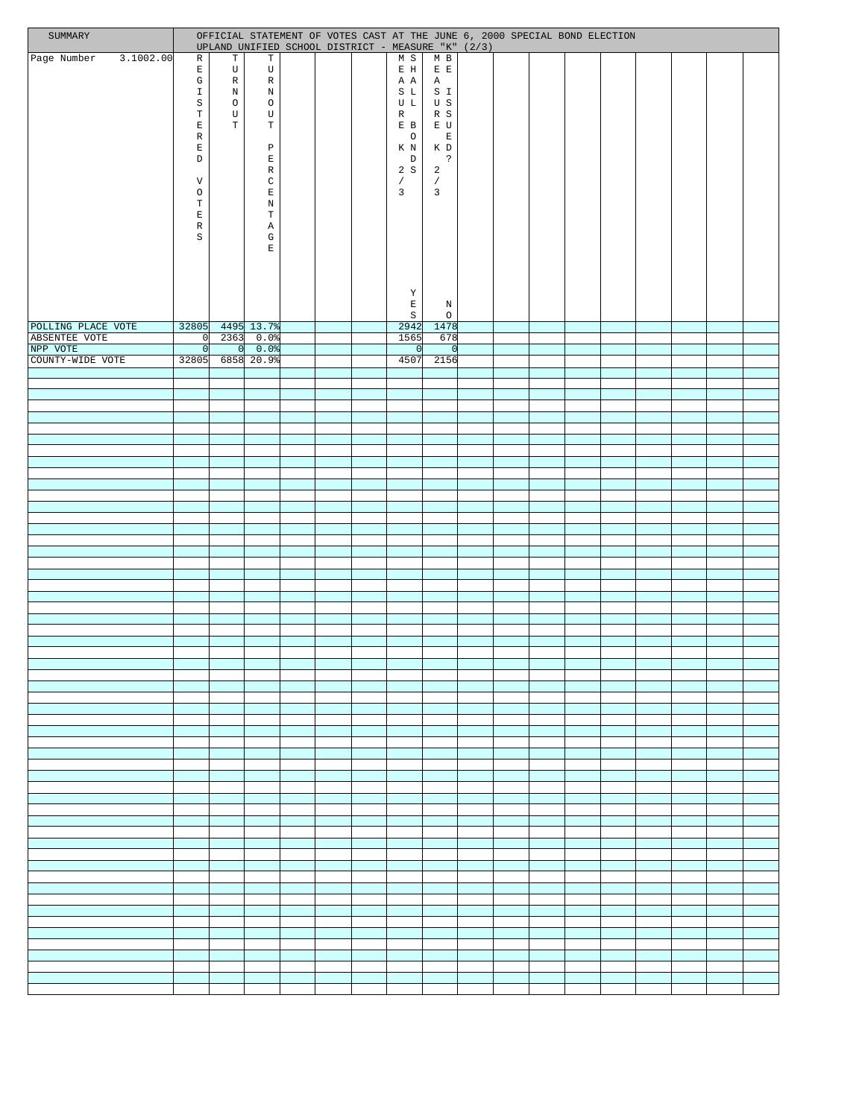| SUMMARY                   |                             |                            | OFFICIAL STATEMENT OF VOTES CAST AT THE JUNE 6, 2000 SPECIAL BOND ELECTION<br>UPLAND UNIFIED SCHOOL DISTRICT - MEASURE "K" (2/3) |  |                                                                                                               |                                         |  |  |  |  |  |
|---------------------------|-----------------------------|----------------------------|----------------------------------------------------------------------------------------------------------------------------------|--|---------------------------------------------------------------------------------------------------------------|-----------------------------------------|--|--|--|--|--|
| 3.1002.00<br>Page Number  | $\mathbb{R}$                | $\mathbb T$                | $\mathbf T$                                                                                                                      |  | M S                                                                                                           | $M$ B                                   |  |  |  |  |  |
|                           | $\mathbf E$<br>$\mathbb{G}$ | $\mathbf U$<br>$\mathbb R$ | $\mathtt{U}$<br>$\mathbb R$                                                                                                      |  | $\mathbb E$ H<br>A A                                                                                          | $E$ $\;$ $\;$ $\;$ $\;$<br>$\mathbb{A}$ |  |  |  |  |  |
|                           | $\mathbbm{1}$               | $\mathbf N$                | $\mathbb N$                                                                                                                      |  | S L                                                                                                           | S I                                     |  |  |  |  |  |
|                           | $\rm S$                     | $\circ$                    | $\circ$                                                                                                                          |  | U L                                                                                                           | U S                                     |  |  |  |  |  |
|                           | $\mathbb T$<br>$\mathbf E$  | $\mathbf U$<br>$\mathbb T$ | U<br>$\mathbb T$                                                                                                                 |  | $\mathbb{R}$<br>E B                                                                                           | R S<br>E U                              |  |  |  |  |  |
|                           | $\mathbb R$                 |                            |                                                                                                                                  |  | $\circ$                                                                                                       | $\mathbf{E}$                            |  |  |  |  |  |
|                           | $\mathbf E$<br>$\mathbb D$  |                            | $\, {\mathbb P}$<br>$\mathbf E$                                                                                                  |  | K N<br>$\mathbb D$                                                                                            | K D<br>$\ddot{\phantom{0}}$             |  |  |  |  |  |
|                           |                             |                            | $\mathbb R$                                                                                                                      |  | 2S                                                                                                            | $\overline{a}$                          |  |  |  |  |  |
|                           | V                           |                            | $\mathtt{C}$                                                                                                                     |  | $\sqrt{2}$<br>$\overline{3}$                                                                                  | $\sqrt{2}$<br>$\overline{3}$            |  |  |  |  |  |
|                           | $\circ$<br>$\mathbf T$      |                            | $\mathbf E$<br>$\mathbb N$                                                                                                       |  |                                                                                                               |                                         |  |  |  |  |  |
|                           | $\mathbf E$                 |                            | $\mathbf T$                                                                                                                      |  |                                                                                                               |                                         |  |  |  |  |  |
|                           | $\mathbb R$<br>$\rm S$      |                            | Α<br>G                                                                                                                           |  |                                                                                                               |                                         |  |  |  |  |  |
|                           |                             |                            | $\mathbf E$                                                                                                                      |  |                                                                                                               |                                         |  |  |  |  |  |
|                           |                             |                            |                                                                                                                                  |  |                                                                                                               |                                         |  |  |  |  |  |
|                           |                             |                            |                                                                                                                                  |  |                                                                                                               |                                         |  |  |  |  |  |
|                           |                             |                            |                                                                                                                                  |  | $\mathbf Y$                                                                                                   |                                         |  |  |  |  |  |
|                           |                             |                            |                                                                                                                                  |  | $\mathbf{E}% _{t}\left  \mathbf{1}\right\rangle =\mathbf{1}_{t}\left  \mathbf{1}\right\rangle$<br>$\mathtt S$ | $\, {\rm N}$<br>$\circ$                 |  |  |  |  |  |
| POLLING PLACE VOTE        |                             |                            | 32805 4495 13.7%                                                                                                                 |  | 2942                                                                                                          | 1478                                    |  |  |  |  |  |
| ABSENTEE VOTE<br>NPP VOTE | 0                           | 0                          | $0 \ 2363 \ 0.0$<br>0.0                                                                                                          |  | 1565<br>- Ol                                                                                                  | 678<br> 0                               |  |  |  |  |  |
| COUNTY-WIDE VOTE          |                             |                            | 32805 6858 20.9%                                                                                                                 |  | 4507                                                                                                          | 2156                                    |  |  |  |  |  |
|                           |                             |                            |                                                                                                                                  |  |                                                                                                               |                                         |  |  |  |  |  |
|                           |                             |                            |                                                                                                                                  |  |                                                                                                               |                                         |  |  |  |  |  |
|                           |                             |                            |                                                                                                                                  |  |                                                                                                               |                                         |  |  |  |  |  |
|                           |                             |                            |                                                                                                                                  |  |                                                                                                               |                                         |  |  |  |  |  |
|                           |                             |                            |                                                                                                                                  |  |                                                                                                               |                                         |  |  |  |  |  |
|                           |                             |                            |                                                                                                                                  |  |                                                                                                               |                                         |  |  |  |  |  |
|                           |                             |                            |                                                                                                                                  |  |                                                                                                               |                                         |  |  |  |  |  |
|                           |                             |                            |                                                                                                                                  |  |                                                                                                               |                                         |  |  |  |  |  |
|                           |                             |                            |                                                                                                                                  |  |                                                                                                               |                                         |  |  |  |  |  |
|                           |                             |                            |                                                                                                                                  |  |                                                                                                               |                                         |  |  |  |  |  |
|                           |                             |                            |                                                                                                                                  |  |                                                                                                               |                                         |  |  |  |  |  |
|                           |                             |                            |                                                                                                                                  |  |                                                                                                               |                                         |  |  |  |  |  |
|                           |                             |                            |                                                                                                                                  |  |                                                                                                               |                                         |  |  |  |  |  |
|                           |                             |                            |                                                                                                                                  |  |                                                                                                               |                                         |  |  |  |  |  |
|                           |                             |                            |                                                                                                                                  |  |                                                                                                               |                                         |  |  |  |  |  |
|                           |                             |                            |                                                                                                                                  |  |                                                                                                               |                                         |  |  |  |  |  |
|                           |                             |                            |                                                                                                                                  |  |                                                                                                               |                                         |  |  |  |  |  |
|                           |                             |                            |                                                                                                                                  |  |                                                                                                               |                                         |  |  |  |  |  |
|                           |                             |                            |                                                                                                                                  |  |                                                                                                               |                                         |  |  |  |  |  |
|                           |                             |                            |                                                                                                                                  |  |                                                                                                               |                                         |  |  |  |  |  |
|                           |                             |                            |                                                                                                                                  |  |                                                                                                               |                                         |  |  |  |  |  |
|                           |                             |                            |                                                                                                                                  |  |                                                                                                               |                                         |  |  |  |  |  |
|                           |                             |                            |                                                                                                                                  |  |                                                                                                               |                                         |  |  |  |  |  |
|                           |                             |                            |                                                                                                                                  |  |                                                                                                               |                                         |  |  |  |  |  |
|                           |                             |                            |                                                                                                                                  |  |                                                                                                               |                                         |  |  |  |  |  |
|                           |                             |                            |                                                                                                                                  |  |                                                                                                               |                                         |  |  |  |  |  |
|                           |                             |                            |                                                                                                                                  |  |                                                                                                               |                                         |  |  |  |  |  |
|                           |                             |                            |                                                                                                                                  |  |                                                                                                               |                                         |  |  |  |  |  |
|                           |                             |                            |                                                                                                                                  |  |                                                                                                               |                                         |  |  |  |  |  |
|                           |                             |                            |                                                                                                                                  |  |                                                                                                               |                                         |  |  |  |  |  |
|                           |                             |                            |                                                                                                                                  |  |                                                                                                               |                                         |  |  |  |  |  |
|                           |                             |                            |                                                                                                                                  |  |                                                                                                               |                                         |  |  |  |  |  |
|                           |                             |                            |                                                                                                                                  |  |                                                                                                               |                                         |  |  |  |  |  |
|                           |                             |                            |                                                                                                                                  |  |                                                                                                               |                                         |  |  |  |  |  |
|                           |                             |                            |                                                                                                                                  |  |                                                                                                               |                                         |  |  |  |  |  |
|                           |                             |                            |                                                                                                                                  |  |                                                                                                               |                                         |  |  |  |  |  |
|                           |                             |                            |                                                                                                                                  |  |                                                                                                               |                                         |  |  |  |  |  |
|                           |                             |                            |                                                                                                                                  |  |                                                                                                               |                                         |  |  |  |  |  |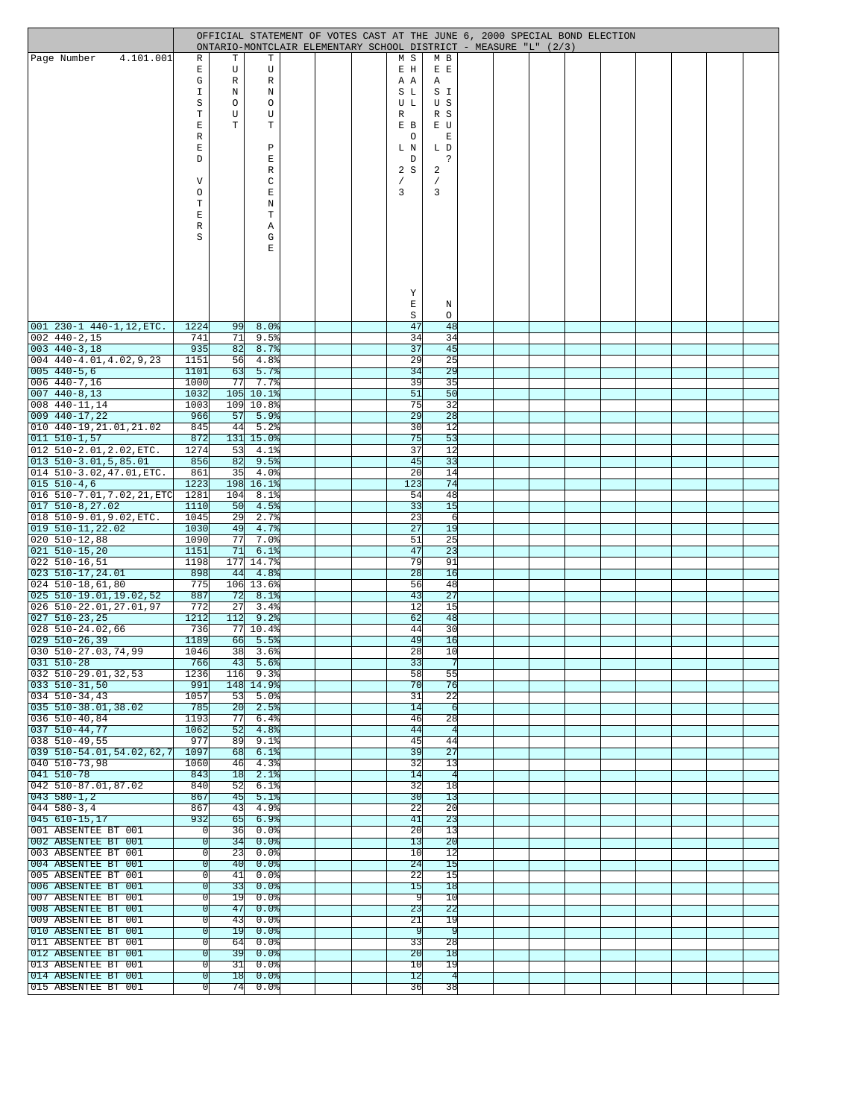|                                                              | OFFICIAL STATEMENT OF VOTES CAST AT THE JUNE 6, 2000 SPECIAL BOND ELECTION<br>ONTARIO-MONTCLAIR ELEMENTARY SCHOOL DISTRICT - MEASURE "L" (2/3) |                       |                             |  |  |  |                       |                       |  |  |  |  |  |  |  |  |
|--------------------------------------------------------------|------------------------------------------------------------------------------------------------------------------------------------------------|-----------------------|-----------------------------|--|--|--|-----------------------|-----------------------|--|--|--|--|--|--|--|--|
| 4.101.001<br> Page Number                                    | R                                                                                                                                              | т                     | т                           |  |  |  | M S                   | M B                   |  |  |  |  |  |  |  |  |
|                                                              | Ε                                                                                                                                              | U                     | U                           |  |  |  | E H                   | E E                   |  |  |  |  |  |  |  |  |
|                                                              | G                                                                                                                                              | $\mathbb R$           | R                           |  |  |  | ΑA                    | Α                     |  |  |  |  |  |  |  |  |
|                                                              | I<br>S                                                                                                                                         | Ν<br>$\circ$          | N<br>O                      |  |  |  | S L<br>U L            | S I<br>U S            |  |  |  |  |  |  |  |  |
|                                                              | $\mathbf T$                                                                                                                                    | U                     | U                           |  |  |  | R                     | R S                   |  |  |  |  |  |  |  |  |
|                                                              | E                                                                                                                                              | T                     | Т                           |  |  |  | E B                   | E U                   |  |  |  |  |  |  |  |  |
|                                                              | $\mathbb R$<br>Ε                                                                                                                               |                       | Ρ                           |  |  |  | O<br>L N              | Ε<br>L D              |  |  |  |  |  |  |  |  |
|                                                              | D                                                                                                                                              |                       | Е                           |  |  |  | D                     | ċ.                    |  |  |  |  |  |  |  |  |
|                                                              |                                                                                                                                                |                       | R                           |  |  |  | 2S                    | 2                     |  |  |  |  |  |  |  |  |
|                                                              | V                                                                                                                                              |                       | C                           |  |  |  |                       |                       |  |  |  |  |  |  |  |  |
|                                                              | O<br>Т                                                                                                                                         |                       | Е<br>Ν                      |  |  |  | 3                     | 3                     |  |  |  |  |  |  |  |  |
|                                                              | E                                                                                                                                              |                       | т                           |  |  |  |                       |                       |  |  |  |  |  |  |  |  |
|                                                              | $\mathbb R$                                                                                                                                    |                       | Α                           |  |  |  |                       |                       |  |  |  |  |  |  |  |  |
|                                                              | S                                                                                                                                              |                       | G                           |  |  |  |                       |                       |  |  |  |  |  |  |  |  |
|                                                              |                                                                                                                                                |                       | E                           |  |  |  |                       |                       |  |  |  |  |  |  |  |  |
|                                                              |                                                                                                                                                |                       |                             |  |  |  |                       |                       |  |  |  |  |  |  |  |  |
|                                                              |                                                                                                                                                |                       |                             |  |  |  |                       |                       |  |  |  |  |  |  |  |  |
|                                                              |                                                                                                                                                |                       |                             |  |  |  | Υ<br>$\mathbf E$      | Ν                     |  |  |  |  |  |  |  |  |
|                                                              |                                                                                                                                                |                       |                             |  |  |  | $\rm S$               | O                     |  |  |  |  |  |  |  |  |
| $ 001 230 - 1 440 - 1, 12$ , ETC.                            | 1224                                                                                                                                           | 99                    | 8.0%                        |  |  |  | 47                    | 48                    |  |  |  |  |  |  |  |  |
| $002$ 440-2,15                                               | 741                                                                                                                                            | 71                    | 9.5%                        |  |  |  | 34                    | 34                    |  |  |  |  |  |  |  |  |
| $003$ 440-3,18<br>004 440-4.01,4.02,9,23                     | 935<br>1151                                                                                                                                    | 82<br>56              | 8.7%<br>4.8%                |  |  |  | 37<br>29              | 45<br>25              |  |  |  |  |  |  |  |  |
| $[005 440 - 5, 6]$                                           | 1101                                                                                                                                           | 63                    | 5.7%                        |  |  |  | 34                    | 29                    |  |  |  |  |  |  |  |  |
| $ 006 440 - 7, 16$                                           | 1000                                                                                                                                           | 77                    | 7.7%                        |  |  |  | 39                    | 35                    |  |  |  |  |  |  |  |  |
| 007 440-8,13<br>008 440-11,14                                | 1032<br>1003                                                                                                                                   | 109                   | 105 10.1%<br>10.8%          |  |  |  | 51<br>75              | 50<br>32              |  |  |  |  |  |  |  |  |
| $009$ 440-17,22                                              | 966                                                                                                                                            | 57                    | 5.9%                        |  |  |  | 29                    | 28                    |  |  |  |  |  |  |  |  |
| 010 440-19, 21.01, 21.02                                     | 845                                                                                                                                            | 44                    | 5.2%                        |  |  |  | 30                    | 12                    |  |  |  |  |  |  |  |  |
| $011 510 - 1,57$                                             | 872                                                                                                                                            |                       | 131 15.0%                   |  |  |  | 75                    | 53                    |  |  |  |  |  |  |  |  |
| $ 012 510-2.01, 2.02, \text{ETC}.$<br>$013$ 510-3.01,5,85.01 | 1274<br>856                                                                                                                                    | 53<br>82              | 4.1%<br>9.5%                |  |  |  | 37<br>45              | 12<br>33              |  |  |  |  |  |  |  |  |
| 014 510-3.02, 47.01, ETC.                                    | 861                                                                                                                                            | 35                    | 4.0%                        |  |  |  | 20                    | 14                    |  |  |  |  |  |  |  |  |
| $ 015 510 - 4, 6$                                            | 1223                                                                                                                                           | 198                   | 16.1%                       |  |  |  | 123                   | 74                    |  |  |  |  |  |  |  |  |
| 016 510-7.01, 7.02, 21, ETC<br>$017$ 510-8, 27.02            | 1281<br>1110                                                                                                                                   | 104<br>50             | 8.1%<br>4.5%                |  |  |  | 54<br>33              | 48<br>15              |  |  |  |  |  |  |  |  |
| 018 510-9.01,9.02,ETC.                                       | 1045                                                                                                                                           | 29                    | 2.7%                        |  |  |  | 23                    | 6                     |  |  |  |  |  |  |  |  |
| 019 510-11,22.02                                             | 1030                                                                                                                                           | 49                    | 4.7%                        |  |  |  | 27                    | 19                    |  |  |  |  |  |  |  |  |
| $ 020 510 - 12,88$                                           | 1090                                                                                                                                           | 77                    | 7.0%                        |  |  |  | 51                    | 25                    |  |  |  |  |  |  |  |  |
| 021 510-15,20<br>022 510-16,51                               | 1151<br>1198                                                                                                                                   | 71<br>177             | 6.1%<br>14.7%               |  |  |  | 47<br>79              | 23<br>91              |  |  |  |  |  |  |  |  |
| 023 510-17,24.01                                             | 898                                                                                                                                            | 44                    | 4.8%                        |  |  |  | 28                    | 16                    |  |  |  |  |  |  |  |  |
| 024 510-18,61,80                                             | 775                                                                                                                                            | 106                   | 13.6%                       |  |  |  | 56                    | 48                    |  |  |  |  |  |  |  |  |
| 025 510-19.01,19.02,52<br>026 510-22.01,27.01,97             | 887<br>772                                                                                                                                     | 72<br>27              | 8.1%<br>3.4%                |  |  |  | 43<br>12              | 27<br>15              |  |  |  |  |  |  |  |  |
| $027$ 510-23,25                                              | 1212                                                                                                                                           | 112                   | 9.2%                        |  |  |  | 62                    | 48                    |  |  |  |  |  |  |  |  |
| 028 510-24.02,66                                             | 736                                                                                                                                            | 77                    | 10.4%                       |  |  |  | 44                    | 30                    |  |  |  |  |  |  |  |  |
| $ 029 \t510-26,39$<br>030 510-27.03,74,99                    | 1189<br>1046                                                                                                                                   | 66<br>38              | 5.5%<br>3.6%                |  |  |  | 49<br>28              | 16<br>10              |  |  |  |  |  |  |  |  |
| $031$ 510-28                                                 | 766                                                                                                                                            | 43                    | 5.6%                        |  |  |  | 33                    |                       |  |  |  |  |  |  |  |  |
| $ 032 \t510-29.01, 32, 53$                                   | 1236                                                                                                                                           | 116                   | 9.3원                        |  |  |  | 58                    | 55                    |  |  |  |  |  |  |  |  |
| $[033 \t 510-31, 50]$                                        | 991                                                                                                                                            |                       | 148 14.9%                   |  |  |  | 70                    | 76<br>22              |  |  |  |  |  |  |  |  |
| $034$ 510-34,43<br>$[035 \t510-38.01, 38.02]$                | 1057<br>785                                                                                                                                    | 53<br>$\overline{20}$ | 5.0원<br>2.5%                |  |  |  | 31<br>14              | ᅙ                     |  |  |  |  |  |  |  |  |
| $036$ 510-40,84                                              | 1193                                                                                                                                           | 77                    | 6.4%                        |  |  |  | 46                    | 28                    |  |  |  |  |  |  |  |  |
| $037$ 510-44,77                                              | 1062                                                                                                                                           | 52                    | 4.8%                        |  |  |  | 44                    | $\vert 4 \vert$       |  |  |  |  |  |  |  |  |
| $038$ 510-49,55<br>$039$ $510 - 54.01, 54.02, 62, 7$         | 977<br>1097                                                                                                                                    | 89<br>68              | 9.1%<br>6.1%                |  |  |  | 45<br>39              | 44<br>27              |  |  |  |  |  |  |  |  |
| $040$ 510-73,98                                              | 1060                                                                                                                                           | 46                    | 4.3%                        |  |  |  | 32                    | 13                    |  |  |  |  |  |  |  |  |
| $041$ 510-78                                                 | 843                                                                                                                                            | 18                    | 2.1%                        |  |  |  | 14                    | $\overline{4}$        |  |  |  |  |  |  |  |  |
| $042$ 510-87.01,87.02                                        | 840                                                                                                                                            | 52                    | 6.1%                        |  |  |  | 32                    | 18<br>$\overline{13}$ |  |  |  |  |  |  |  |  |
| $[043 580 - 1, 2]$<br>$044580 - 3,4$                         | 867<br>867                                                                                                                                     | 45<br>43              | 5.1%<br>4.9%                |  |  |  | 30<br>22              | 20                    |  |  |  |  |  |  |  |  |
| $045610 - 15,17$                                             | 932                                                                                                                                            | 65                    | 6.9%                        |  |  |  | 41                    | $\overline{23}$       |  |  |  |  |  |  |  |  |
| 001 ABSENTEE BT 001                                          | 0                                                                                                                                              | 36                    | $0.0$ %                     |  |  |  | 20                    | 13                    |  |  |  |  |  |  |  |  |
| 002 ABSENTEE BT 001<br>003 ABSENTEE BT 001                   | $\Omega$<br> 0                                                                                                                                 | $\overline{34}$<br>23 | $0.0$ $\frac{8}{3}$<br>0.0% |  |  |  | 13<br>10              | $\overline{20}$<br>12 |  |  |  |  |  |  |  |  |
| 004 ABSENTEE BT 001                                          | $\Omega$                                                                                                                                       | 40                    | 0.0%                        |  |  |  | 24                    | 15                    |  |  |  |  |  |  |  |  |
| 005 ABSENTEE BT 001                                          | 0                                                                                                                                              | 41                    | $0.0$ %                     |  |  |  | 22                    | 15                    |  |  |  |  |  |  |  |  |
| 006 ABSENTEE BT 001                                          | 0                                                                                                                                              | 33                    | $0.0$ $\frac{8}{3}$         |  |  |  | 15                    | 18                    |  |  |  |  |  |  |  |  |
| 007 ABSENTEE BT 001<br>008 ABSENTEE BT 001                   | 0l<br>$\Omega$                                                                                                                                 | 19<br>47              | 0.0%<br>$0.0$ $\frac{8}{3}$ |  |  |  | 9<br>23               | 10<br>22              |  |  |  |  |  |  |  |  |
| 009 ABSENTEE BT 001                                          | 0                                                                                                                                              | 43                    | 0.0%                        |  |  |  | 21                    | 19                    |  |  |  |  |  |  |  |  |
| 010 ABSENTEE BT 001                                          | $\Omega$                                                                                                                                       | 19                    | 0.0%                        |  |  |  | ञ                     | ञ                     |  |  |  |  |  |  |  |  |
| 011 ABSENTEE BT 001<br>012 ABSENTEE BT 001                   | 0<br>$\Omega$                                                                                                                                  | 64<br>39              | $0.0$ %<br>0.0%             |  |  |  | 33<br>$\overline{20}$ | $\overline{28}$<br>18 |  |  |  |  |  |  |  |  |
| 013 ABSENTEE BT 001                                          | 0l                                                                                                                                             | 31                    | 0.0%                        |  |  |  | 10                    | 19                    |  |  |  |  |  |  |  |  |
| 014 ABSENTEE BT 001                                          | 0                                                                                                                                              | 18                    | $0.0$ $\frac{1}{2}$         |  |  |  | 12                    | $\vert 4 \vert$       |  |  |  |  |  |  |  |  |
| 015 ABSENTEE BT 001                                          | 0                                                                                                                                              | 74                    | $0.0$ %                     |  |  |  | 36                    | 38                    |  |  |  |  |  |  |  |  |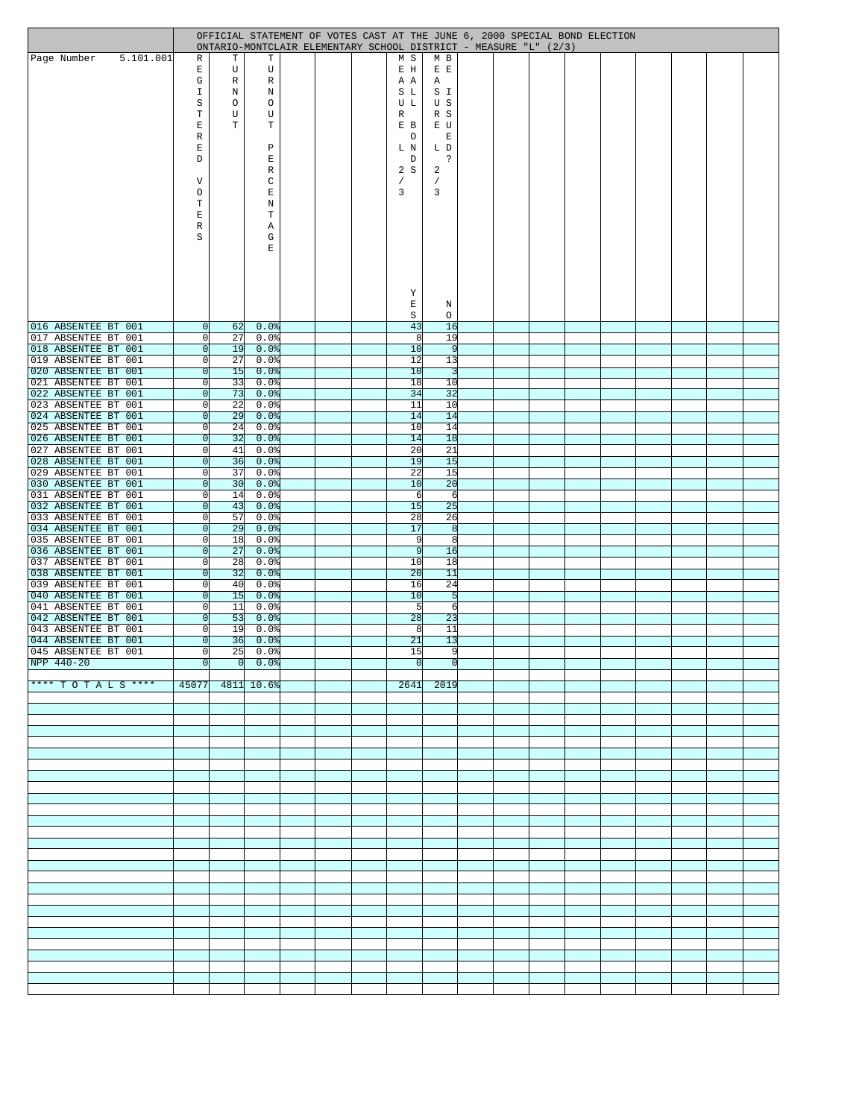|                                            |                                  |          |                                |  | OFFICIAL STATEMENT OF VOTES CAST AT THE JUNE 6, 2000 SPECIAL BOND ELECTION<br>ONTARIO-MONTCLAIR ELEMENTARY SCHOOL DISTRICT - MEASURE "L" (2/3) |                    |  |  |  |  |  |
|--------------------------------------------|----------------------------------|----------|--------------------------------|--|------------------------------------------------------------------------------------------------------------------------------------------------|--------------------|--|--|--|--|--|
| 5.101.001<br>Page Number                   | R                                | Т        | Т                              |  | M S                                                                                                                                            | M B                |  |  |  |  |  |
|                                            | Ε                                | U        | U                              |  | E H                                                                                                                                            | $E$ $E$            |  |  |  |  |  |
|                                            | G<br>I                           | R<br>N   | R<br>$\, {\rm N}$              |  | A A<br>S L                                                                                                                                     | Α<br>S I           |  |  |  |  |  |
|                                            | S                                | $\circ$  | O                              |  | U L                                                                                                                                            | U S                |  |  |  |  |  |
|                                            | Т                                | U        | U                              |  | R                                                                                                                                              | R S                |  |  |  |  |  |
|                                            | E<br>R                           | T        | т                              |  | E B<br>O                                                                                                                                       | E U<br>$\mathbf E$ |  |  |  |  |  |
|                                            | E                                |          | P                              |  | L N                                                                                                                                            | L D                |  |  |  |  |  |
|                                            | D                                |          | E                              |  | D                                                                                                                                              | S.                 |  |  |  |  |  |
|                                            |                                  |          | R<br>C                         |  | 2S                                                                                                                                             | 2                  |  |  |  |  |  |
|                                            | V<br>O                           |          | E                              |  | 7<br>3                                                                                                                                         | 3                  |  |  |  |  |  |
|                                            | Т                                |          | N                              |  |                                                                                                                                                |                    |  |  |  |  |  |
|                                            | E                                |          | $\mathbf T$                    |  |                                                                                                                                                |                    |  |  |  |  |  |
|                                            | R<br>S                           |          | Α<br>G                         |  |                                                                                                                                                |                    |  |  |  |  |  |
|                                            |                                  |          | E                              |  |                                                                                                                                                |                    |  |  |  |  |  |
|                                            |                                  |          |                                |  |                                                                                                                                                |                    |  |  |  |  |  |
|                                            |                                  |          |                                |  |                                                                                                                                                |                    |  |  |  |  |  |
|                                            |                                  |          |                                |  | Υ                                                                                                                                              |                    |  |  |  |  |  |
|                                            |                                  |          |                                |  | E                                                                                                                                              | Ν                  |  |  |  |  |  |
| 016 ABSENTEE BT 001                        | 0                                | 62       | $0.0$ $ $                      |  | $\rm S$<br>43                                                                                                                                  | O<br>16            |  |  |  |  |  |
| 017 ABSENTEE BT 001                        | 0                                | 27       | $0.0$ %                        |  | 8                                                                                                                                              | 19                 |  |  |  |  |  |
| 018 ABSENTEE BT 001                        | 0                                | 19       | $0.0$ $ $                      |  | 10                                                                                                                                             | 9                  |  |  |  |  |  |
| 019 ABSENTEE BT 001<br>020 ABSENTEE BT 001 | $\overline{0}$<br>$\overline{0}$ | 27<br>15 | $0.0$ $ $<br>$0.0$ %           |  | 12<br>10                                                                                                                                       | 13<br>-31          |  |  |  |  |  |
| 021 ABSENTEE BT 001                        | 0                                | 33       | $0.0$ $ $                      |  | 18                                                                                                                                             | 10                 |  |  |  |  |  |
| 022 ABSENTEE BT 001<br>023 ABSENTEE BT 001 | $\overline{0}$                   | 73<br>22 | $0.0$ $ $                      |  | 34                                                                                                                                             | 32                 |  |  |  |  |  |
| 024 ABSENTEE BT 001                        | $\circ$<br>$\overline{0}$        | 29       | $0.0$ %<br>$0.0$ $\frac{1}{2}$ |  | 11<br>14                                                                                                                                       | 10<br>14           |  |  |  |  |  |
| 025 ABSENTEE BT 001                        | $\overline{0}$                   | 24       | $0.0$ $ $                      |  | 10                                                                                                                                             | 14                 |  |  |  |  |  |
| 026 ABSENTEE BT 001                        | $\overline{0}$                   | 32       | $0.0$ $ $                      |  | 14                                                                                                                                             | 18                 |  |  |  |  |  |
| 027 ABSENTEE BT 001<br>028 ABSENTEE BT 001 | $\overline{0}$<br> 0             | 41<br>36 | $0.0$ $ $<br>0.0%              |  | 20<br>19                                                                                                                                       | 21<br>15           |  |  |  |  |  |
| 029 ABSENTEE BT 001                        | $\overline{0}$                   | 37       | $0.0$ %                        |  | 22                                                                                                                                             | 15                 |  |  |  |  |  |
| 030 ABSENTEE BT 001                        | $\overline{0}$                   | 30       | $0.0$ $ $                      |  | 10                                                                                                                                             | 20                 |  |  |  |  |  |
| 031 ABSENTEE BT 001<br>032 ABSENTEE BT 001 | 0 <br> 0                         | 14<br>43 | $0.0$ %<br>$0.0$ $ $           |  | 6<br>15                                                                                                                                        | 6<br>25            |  |  |  |  |  |
| 033 ABSENTEE BT 001                        | $\Omega$                         | 57       | $0.0$ %                        |  | 28                                                                                                                                             | 26                 |  |  |  |  |  |
| 034 ABSENTEE BT 001                        | 0                                | 29       | $0.0$ $ $                      |  | 17                                                                                                                                             | 8                  |  |  |  |  |  |
| 035 ABSENTEE BT 001<br>036 ABSENTEE BT 001 | $\Omega$<br>$\overline{0}$       | 18<br>27 | $0.0$ %<br>$0.0$ $ $           |  | 9<br>9                                                                                                                                         | 8<br>16            |  |  |  |  |  |
| 037 ABSENTEE BT 001                        | 0                                | 28       | $0.0$ %                        |  | 10                                                                                                                                             | 18                 |  |  |  |  |  |
| 038 ABSENTEE BT 001                        | 0                                | 32       | $0.0$ $ $                      |  | 20                                                                                                                                             | 11                 |  |  |  |  |  |
| 039 ABSENTEE BT 001<br>040 ABSENTEE BT 001 | $\Omega$<br>$\Omega$             | 40<br>15 | $0.0$ $ $<br>$0.0$ $ $         |  | 16<br>10                                                                                                                                       | 24<br>5            |  |  |  |  |  |
| 041 ABSENTEE BT 001                        | 0                                | 11       | $0.0$ %                        |  | 5                                                                                                                                              | -6                 |  |  |  |  |  |
| 042 ABSENTEE BT 001                        | 0                                | 53       | 0.0%                           |  | 28                                                                                                                                             | 23                 |  |  |  |  |  |
| 043 ABSENTEE BT 001<br>044 ABSENTEE BT 001 | $\Omega$<br> 0                   | 19<br>36 | $0.0$ $ $<br>$0.0$ $ $         |  | 8<br>21                                                                                                                                        | 11<br>13           |  |  |  |  |  |
| 045 ABSENTEE BT 001                        | 0l                               | 25       | 0.0%                           |  | 15                                                                                                                                             | 9                  |  |  |  |  |  |
| NPP 440-20                                 |                                  |          | 0 0 0.0                        |  |                                                                                                                                                |                    |  |  |  |  |  |
| **** TOTALS ****                           |                                  |          | $45077$ $4811$ $10.6$          |  |                                                                                                                                                | 2641 2019          |  |  |  |  |  |
|                                            |                                  |          |                                |  |                                                                                                                                                |                    |  |  |  |  |  |
|                                            |                                  |          |                                |  |                                                                                                                                                |                    |  |  |  |  |  |
|                                            |                                  |          |                                |  |                                                                                                                                                |                    |  |  |  |  |  |
|                                            |                                  |          |                                |  |                                                                                                                                                |                    |  |  |  |  |  |
|                                            |                                  |          |                                |  |                                                                                                                                                |                    |  |  |  |  |  |
|                                            |                                  |          |                                |  |                                                                                                                                                |                    |  |  |  |  |  |
|                                            |                                  |          |                                |  |                                                                                                                                                |                    |  |  |  |  |  |
|                                            |                                  |          |                                |  |                                                                                                                                                |                    |  |  |  |  |  |
|                                            |                                  |          |                                |  |                                                                                                                                                |                    |  |  |  |  |  |
|                                            |                                  |          |                                |  |                                                                                                                                                |                    |  |  |  |  |  |
|                                            |                                  |          |                                |  |                                                                                                                                                |                    |  |  |  |  |  |
|                                            |                                  |          |                                |  |                                                                                                                                                |                    |  |  |  |  |  |
|                                            |                                  |          |                                |  |                                                                                                                                                |                    |  |  |  |  |  |
|                                            |                                  |          |                                |  |                                                                                                                                                |                    |  |  |  |  |  |
|                                            |                                  |          |                                |  |                                                                                                                                                |                    |  |  |  |  |  |
|                                            |                                  |          |                                |  |                                                                                                                                                |                    |  |  |  |  |  |
|                                            |                                  |          |                                |  |                                                                                                                                                |                    |  |  |  |  |  |
|                                            |                                  |          |                                |  |                                                                                                                                                |                    |  |  |  |  |  |
|                                            |                                  |          |                                |  |                                                                                                                                                |                    |  |  |  |  |  |
|                                            |                                  |          |                                |  |                                                                                                                                                |                    |  |  |  |  |  |
|                                            |                                  |          |                                |  |                                                                                                                                                |                    |  |  |  |  |  |